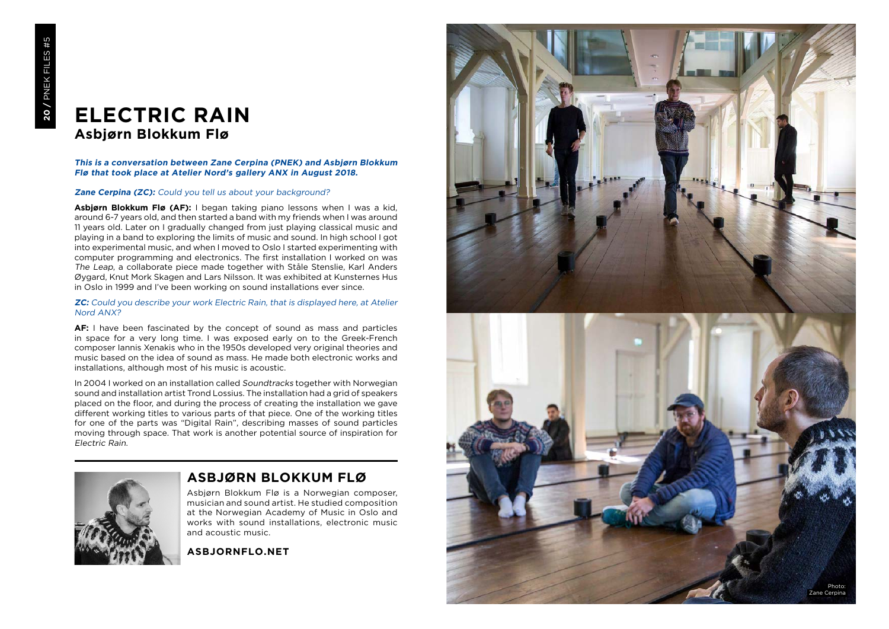# **ELECTRIC RAIN Asbjørn Blokkum Flø**

# **This is a conversation between Zane Cerpina (PNEK) and Asbjørn Blokkum Flø that took place at Atelier Nord's gallery ANX in August 2018.**

# **Zane Cerpina (ZC):** Could you tell us about your background?

**Asbjørn Blokkum Flø (AF):** I began taking piano lessons when I was a kid, around 6-7 years old, and then started a band with my friends when I was around 11 years old. Later on I gradually changed from just playing classical music and playing in a band to exploring the limits of music and sound. In high school I got into experimental music, and when I moved to Oslo I started experimenting with computer programming and electronics. The first installation I worked on was The Leap, a collaborate piece made together with Ståle Stenslie, Karl Anders Øygard, Knut Mork Skagen and Lars Nilsson. It was exhibited at Kunsternes Hus in Oslo in 1999 and I've been working on sound installations ever since.

#### **ZC:** Could you describe your work Electric Rain, that is displayed here, at Atelier Nord ANX?

**AF:** I have been fascinated by the concept of sound as mass and particles in space for a very long time. I was exposed early on to the Greek-French composer Iannis Xenakis who in the 1950s developed very original theories and music based on the idea of sound as mass. He made both electronic works and installations, although most of his music is acoustic.

In 2004 I worked on an installation called Soundtracks together with Norwegian sound and installation artist Trond Lossius. The installation had a grid of speakers placed on the floor, and during the process of creating the installation we gave different working titles to various parts of that piece. One of the working titles for one of the parts was "Digital Rain", describing masses of sound particles moving through space. That work is another potential source of inspiration for Electric Rain .



# **ASBJØRN BLOKKUM FLØ**

Asbjørn Blokkum Flø is a Norwegian composer, musician and sound artist. He studied composition at the Norwegian Academy of Music in Oslo and works with sound installations, electronic music and acoustic music.

**ASBJORNFLO.NET**

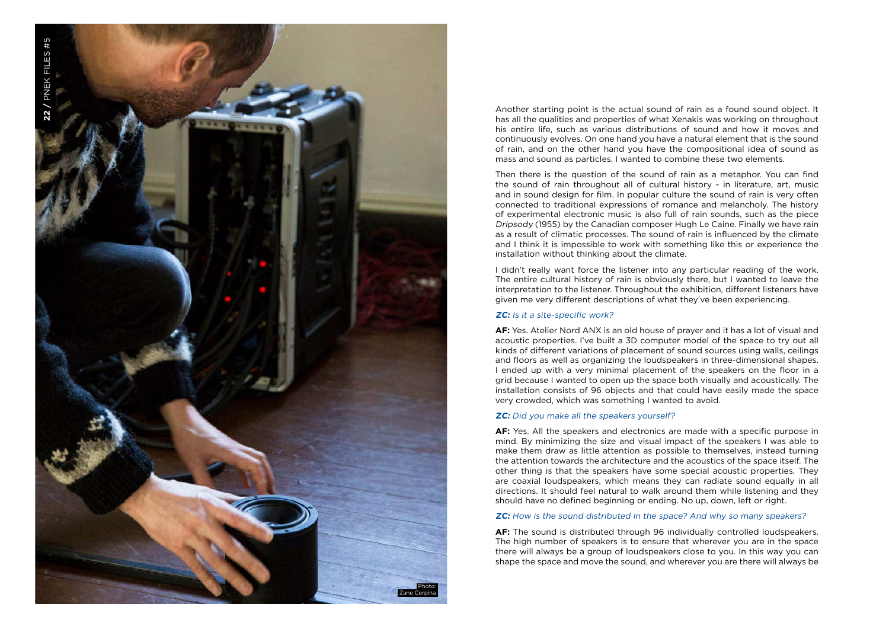

Another starting point is the actual sound of rain as a found sound object. It has all the qualities and properties of what Xenakis was working on throughout his entire life, such as various distributions of sound and how it moves and continuously evolves. On one hand you have a natural element that is the sound of rain, and on the other hand you have the compositional idea of sound as mass and sound as particles. I wanted to combine these two elements.

Then there is the question of the sound of rain as a metaphor. You can find the sound of rain throughout all of cultural history - in literature, art, music and in sound design for film. In popular culture the sound of rain is very often connected to traditional expressions of romance and melancholy. The history of experimental electronic music is also full of rain sounds, such as the piece Dripsody (1955) by the Canadian composer Hugh Le Caine. Finally we have rain as a result of climatic processes. The sound of rain is influenced by the climate and I think it is impossible to work with something like this or experience the installation without thinking about the climate.

I didn't really want force the listener into any particular reading of the work. The entire cultural history of rain is obviously there, but I wanted to leave the interpretation to the listener. Throughout the exhibition, different listeners have given me very different descriptions of what they've been experiencing.

### **ZC:** Is it a site-specific work?

**AF:** Yes. Atelier Nord ANX is an old house of prayer and it has a lot of visual and acoustic properties. I've built a 3D computer model of the space to try out all kinds of different variations of placement of sound sources using walls, ceilings and floors as well as organizing the loudspeakers in three-dimensional shapes. I ended up with a very minimal placement of the speakers on the floor in a grid because I wanted to open up the space both visually and acoustically. The installation consists of 96 objects and that could have easily made the space very crowded, which was something I wanted to avoid.

#### **ZC:** Did you make all the speakers yourself?

**AF:** Yes. All the speakers and electronics are made with a specific purpose in mind. By minimizing the size and visual impact of the speakers I was able to make them draw as little attention as possible to themselves, instead turning the attention towards the architecture and the acoustics of the space itself. The other thing is that the speakers have some special acoustic properties. They are coaxial loudspeakers, which means they can radiate sound equally in all directions. It should feel natural to walk around them while listening and they should have no defined beginning or ending. No up, down, left or right.

#### **ZC:** How is the sound distributed in the space? And why so many speakers?

**AF:** The sound is distributed through 96 individually controlled loudspeakers. The high number of speakers is to ensure that wherever you are in the space there will always be a group of loudspeakers close to you. In this way you can shape the space and move the sound, and wherever you are there will always be